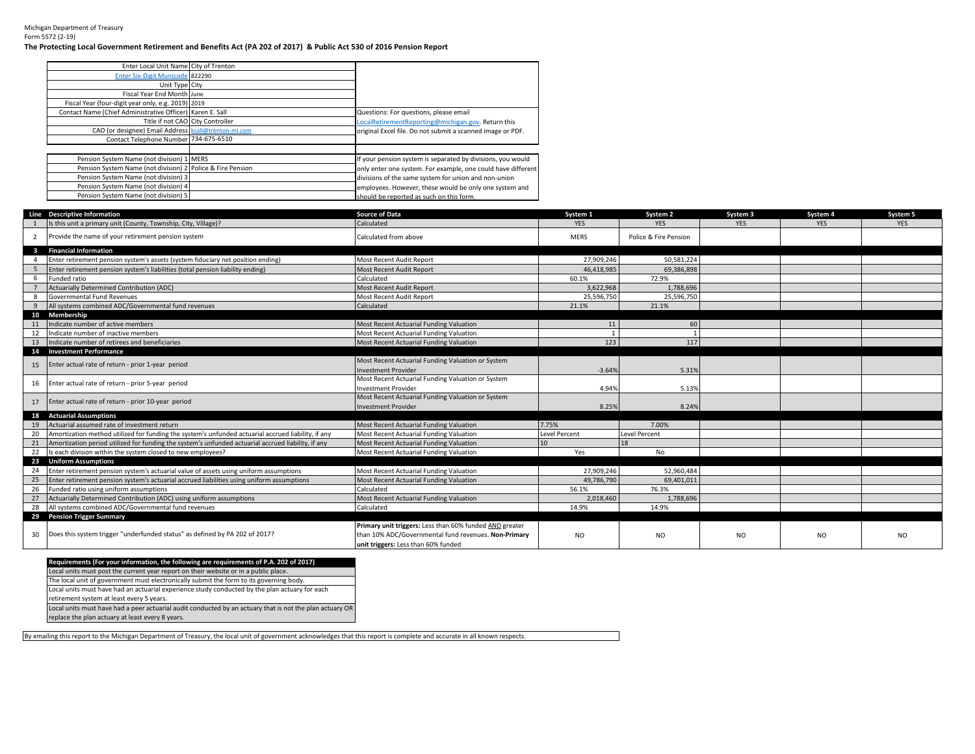## Michigan Department of Treasury Form 5572 (2-19)

## **The Protecting Local Government Retirement and Benefits Act (PA 202 of 2017) & Public Act 530 of 2016 Pension Report**

| Enter Local Unit Name City of Trenton                      |                                                              |
|------------------------------------------------------------|--------------------------------------------------------------|
| Enter Six-Digit Municode 822290                            |                                                              |
| Unit Type City                                             |                                                              |
| Fiscal Year End Month June                                 |                                                              |
| Fiscal Year (four-digit year only, e.g. 2019) 2019         |                                                              |
| Contact Name (Chief Administrative Officer) Karen E. Sall  | Questions: For questions, please email                       |
| Title if not CAO City Controller                           | LocalRetirementReporting@michigan.gov. Return this           |
| CAO (or designee) Email Address   ksall@trenton-mi.com     | original Excel file. Do not submit a scanned image or PDF.   |
| Contact Telephone Number 734-675-6510                      |                                                              |
|                                                            |                                                              |
| Pension System Name (not division) 1 MERS                  | If your pension system is separated by divisions, you would  |
| Pension System Name (not division) 2 Police & Fire Pension | only enter one system. For example, one could have different |
| Pension System Name (not division) 3                       | divisions of the same system for union and non-union         |
| Pension System Name (not division) 4                       | employees. However, these would be only one system and       |
| Pension System Name (not division) 5                       | should be reported as such on this form.                     |

|                | Line Descriptive Information                                                                       | <b>Source of Data</b>                                   | System 1             | System 2              | System 3       | System 4   | System 5       |
|----------------|----------------------------------------------------------------------------------------------------|---------------------------------------------------------|----------------------|-----------------------|----------------|------------|----------------|
|                | Is this unit a primary unit (County, Township, City, Village)?                                     | Calculated                                              | <b>YES</b>           | <b>YES</b>            | <b>YES</b>     | <b>YES</b> | <b>YES</b>     |
| 2              | Provide the name of your retirement pension system                                                 | Calculated from above                                   | <b>MERS</b>          | Police & Fire Pension |                |            |                |
|                | 3 Financial Information                                                                            |                                                         |                      |                       |                |            |                |
| $\overline{a}$ | Enter retirement pension system's assets (system fiduciary net position ending)                    | Most Recent Audit Report                                | 27.909.246           | 50.581.224            |                |            |                |
|                | Enter retirement pension system's liabilities (total pension liability ending)                     | <b>Most Recent Audit Report</b>                         | 46.418.985           | 69.386.898            |                |            |                |
| 6              | Funded ratio                                                                                       | Calculated                                              | 60.1%                | 72.9%                 |                |            |                |
|                | Actuarially Determined Contribution (ADC)                                                          | <b>Most Recent Audit Report</b>                         | 3,622,968            | 1.788.696             |                |            |                |
| -8             | Governmental Fund Revenues                                                                         | Most Recent Audit Report                                | 25,596,750           | 25,596,750            |                |            |                |
| 9              | All systems combined ADC/Governmental fund revenues                                                | Calculated                                              | 21.1%                | 21.1%                 |                |            |                |
|                | 10 Membership                                                                                      |                                                         |                      |                       |                |            |                |
| 11             | Indicate number of active members                                                                  | Most Recent Actuarial Funding Valuation                 | 11                   | 60                    |                |            |                |
| 12             | Indicate number of inactive members                                                                | Most Recent Actuarial Funding Valuation                 |                      |                       |                |            |                |
| 13             | Indicate number of retirees and beneficiaries                                                      | Most Recent Actuarial Funding Valuation                 | 123                  | 117                   |                |            |                |
|                | 14 Investment Performance                                                                          |                                                         |                      |                       |                |            |                |
|                | 15 Enter actual rate of return - prior 1-year period                                               | Most Recent Actuarial Funding Valuation or System       |                      |                       |                |            |                |
|                |                                                                                                    | <b>Investment Provider</b>                              | $-3.64%$             | 5.31%                 |                |            |                |
|                | 16 Enter actual rate of return - prior 5-year period                                               | Most Recent Actuarial Funding Valuation or System       |                      |                       |                |            |                |
|                |                                                                                                    | <b>Investment Provider</b>                              | 4.94%                | 5.13%                 |                |            |                |
|                | 17 Enter actual rate of return - prior 10-year period                                              | Most Recent Actuarial Funding Valuation or System       |                      |                       |                |            |                |
|                |                                                                                                    | <b>Investment Provider</b>                              | 8.25%                | 8.24%                 |                |            |                |
|                | 18 Actuarial Assumptions                                                                           |                                                         |                      |                       |                |            |                |
| 19             | Actuarial assumed rate of investment return                                                        | Most Recent Actuarial Funding Valuation                 | 7.75%                | 7.00%                 |                |            |                |
| 20             | Amortization method utilized for funding the system's unfunded actuarial accrued liability, if any | Most Recent Actuarial Funding Valuation                 | <b>Level Percent</b> | <b>Level Percent</b>  |                |            |                |
| 21             | Amortization period utilized for funding the system's unfunded actuarial accrued liability, if any | Most Recent Actuarial Funding Valuation                 | 10 <sup>1</sup>      | 18                    |                |            |                |
| 22             | Is each division within the system closed to new employees?                                        | Most Recent Actuarial Funding Valuation                 | Yes                  | No                    |                |            |                |
|                | 23 Uniform Assumptions                                                                             |                                                         |                      |                       |                |            |                |
| 24             | Enter retirement pension system's actuarial value of assets using uniform assumptions              | Most Recent Actuarial Funding Valuation                 | 27.909.246           | 52.960.484            |                |            |                |
| 25             | Enter retirement pension system's actuarial accrued liabilities using uniform assumptions          | Most Recent Actuarial Funding Valuation                 | 49,786,790           | 69,401,011            |                |            |                |
| 26             | Funded ratio using uniform assumptions                                                             | Calculated                                              | 56.1%                | 76.3%                 |                |            |                |
| 27             | Actuarially Determined Contribution (ADC) using uniform assumptions                                | Most Recent Actuarial Funding Valuation                 | 2,018,460            | 1,788,696             |                |            |                |
| 28             | All systems combined ADC/Governmental fund revenues                                                | Calculated                                              | 14.9%                | 14.9%                 |                |            |                |
|                | 29 Pension Trigger Summary                                                                         |                                                         |                      |                       |                |            |                |
|                |                                                                                                    | Primary unit triggers: Less than 60% funded AND greater |                      |                       |                |            |                |
|                | 30 Does this system trigger "underfunded status" as defined by PA 202 of 2017?                     | than 10% ADC/Governmental fund revenues. Non-Primary    | <b>NO</b>            | <b>NO</b>             | N <sub>O</sub> | NO.        | N <sub>O</sub> |
|                |                                                                                                    | unit triggers: Less than 60% funded                     |                      |                       |                |            |                |

| Requirements (For your information, the following are requirements of P.A. 202 of 2017)                  |
|----------------------------------------------------------------------------------------------------------|
| Local units must post the current year report on their website or in a public place.                     |
| The local unit of government must electronically submit the form to its governing body.                  |
| Local units must have had an actuarial experience study conducted by the plan actuary for each           |
| retirement system at least every 5 years.                                                                |
| Local units must have had a peer actuarial audit conducted by an actuary that is not the plan actuary OR |
| replace the plan actuary at least every 8 years.                                                         |
|                                                                                                          |

By emailing this report to the Michigan Department of Treasury, the local unit of government acknowledges that this report is complete and accurate in all known respects.